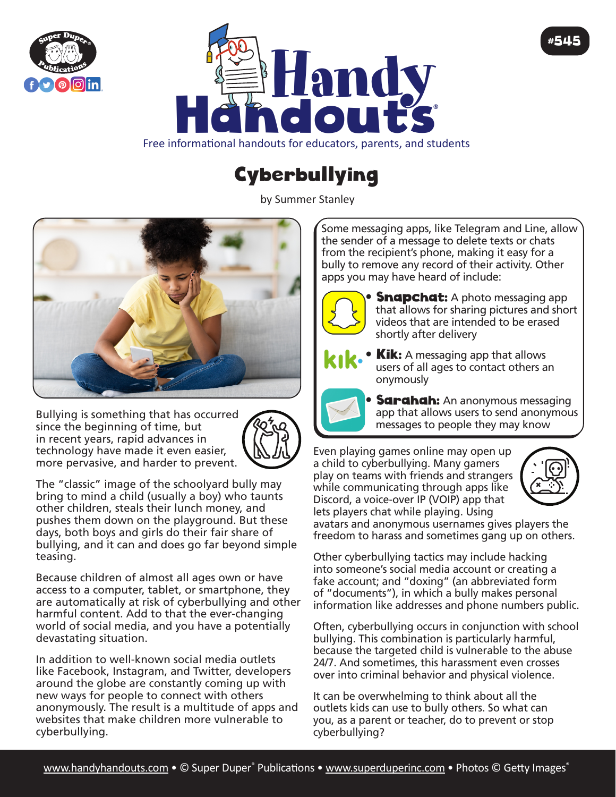



Free informational handouts for educators, parents, and students

## **Cyberbullying**

by Summer Stanley



Bullying is something that has occurred since the beginning of time, but in recent years, rapid advances in technology have made it even easier, more pervasive, and harder to prevent.



The "classic" image of the schoolyard bully may bring to mind a child (usually a boy) who taunts other children, steals their lunch money, and pushes them down on the playground. But these days, both boys and girls do their fair share of bullying, and it can and does go far beyond simple teasing.

Because children of almost all ages own or have access to a computer, tablet, or smartphone, they are automatically at risk of cyberbullying and other harmful content. Add to that the ever-changing world of social media, and you have a potentially devastating situation.

In addition to well-known social media outlets like Facebook, Instagram, and Twitter, developers around the globe are constantly coming up with new ways for people to connect with others anonymously. The result is a multitude of apps and websites that make children more vulnerable to cyberbullying.

Some messaging apps, like Telegram and Line, allow the sender of a message to delete texts or chats from the recipient's phone, making it easy for a bully to remove any record of their activity. Other apps you may have heard of include:



• **Snapchat:** A photo messaging app that allows for sharing pictures and short videos that are intended to be erased shortly after delivery



**Kik:** A messaging app that allows users of all ages to contact others an onymously

**Sarahah:** An anonymous messaging app that allows users to send anonymous messages to people they may know

Even playing games online may open up a child to cyberbullying. Many gamers play on teams with friends and strangers while communicating through apps like Discord, a voice-over IP (VOIP) app that lets players chat while playing. Using



#545

avatars and anonymous usernames gives players the freedom to harass and sometimes gang up on others.

Other cyberbullying tactics may include hacking into someone's social media account or creating a fake account; and "doxing" (an abbreviated form of "documents"), in which a bully makes personal information like addresses and phone numbers public.

Often, cyberbullying occurs in conjunction with school bullying. This combination is particularly harmful, because the targeted child is vulnerable to the abuse 24/7. And sometimes, this harassment even crosses over into criminal behavior and physical violence.

It can be overwhelming to think about all the outlets kids can use to bully others. So what can you, as a parent or teacher, do to prevent or stop cyberbullying?